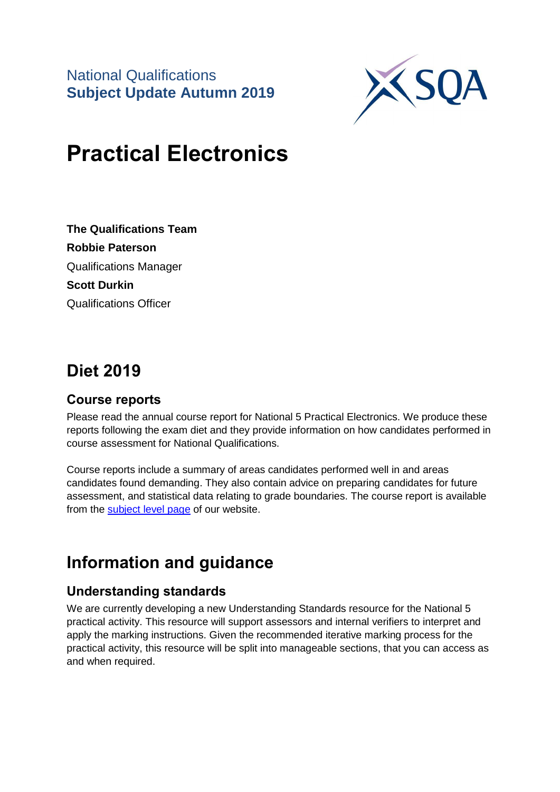National Qualifications **Subject Update Autumn 2019**



# **Practical Electronics**

**The Qualifications Team Robbie Paterson** Qualifications Manager **Scott Durkin** Qualifications Officer

## **Diet 2019**

#### **Course reports**

Please read the annual course report for National 5 Practical Electronics. We produce these reports following the exam diet and they provide information on how candidates performed in course assessment for National Qualifications.

Course reports include a summary of areas candidates performed well in and areas candidates found demanding. They also contain advice on preparing candidates for future assessment, and statistical data relating to grade boundaries. The course report is available from the [subject level page](https://www.sqa.org.uk/sqa/47460.html) of our website.

## **Information and guidance**

#### **Understanding standards**

We are currently developing a new Understanding Standards resource for the National 5 practical activity. This resource will support assessors and internal verifiers to interpret and apply the marking instructions. Given the recommended iterative marking process for the practical activity, this resource will be split into manageable sections, that you can access as and when required.